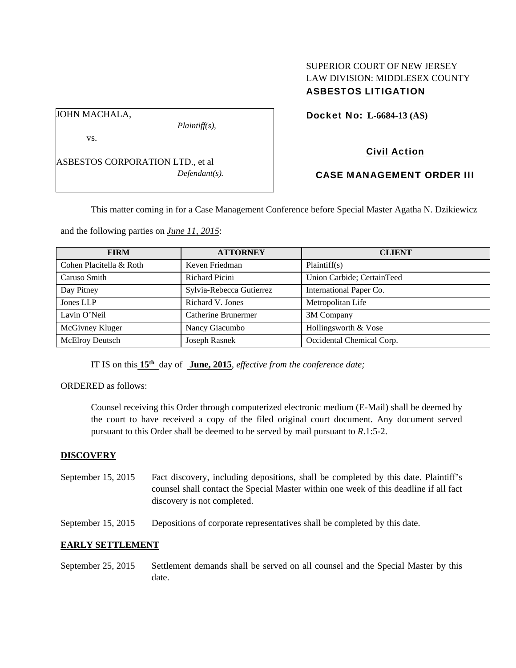# SUPERIOR COURT OF NEW JERSEY LAW DIVISION: MIDDLESEX COUNTY ASBESTOS LITIGATION

Docket No: **L-6684-13 (AS)** 

JOHN MACHALA,

vs.

*Plaintiff(s),* 

Civil Action

ASBESTOS CORPORATION LTD., et al *Defendant(s).* 

# CASE MANAGEMENT ORDER III

This matter coming in for a Case Management Conference before Special Master Agatha N. Dzikiewicz

and the following parties on *June 11, 2015*:

| <b>FIRM</b>             | <b>ATTORNEY</b>          | <b>CLIENT</b>              |
|-------------------------|--------------------------|----------------------------|
| Cohen Placitella & Roth | Keven Friedman           | Plaintiff(s)               |
| Caruso Smith            | <b>Richard Picini</b>    | Union Carbide; CertainTeed |
| Day Pitney              | Sylvia-Rebecca Gutierrez | International Paper Co.    |
| Jones LLP               | Richard V. Jones         | Metropolitan Life          |
| Lavin O'Neil            | Catherine Brunermer      | 3M Company                 |
| McGivney Kluger         | Nancy Giacumbo           | Hollingsworth & Vose       |
| <b>McElroy Deutsch</b>  | Joseph Rasnek            | Occidental Chemical Corp.  |

IT IS on this **15th** day of **June, 2015**, *effective from the conference date;*

ORDERED as follows:

Counsel receiving this Order through computerized electronic medium (E-Mail) shall be deemed by the court to have received a copy of the filed original court document. Any document served pursuant to this Order shall be deemed to be served by mail pursuant to *R*.1:5-2.

### **DISCOVERY**

- September 15, 2015 Fact discovery, including depositions, shall be completed by this date. Plaintiff's counsel shall contact the Special Master within one week of this deadline if all fact discovery is not completed.
- September 15, 2015 Depositions of corporate representatives shall be completed by this date.

### **EARLY SETTLEMENT**

September 25, 2015 Settlement demands shall be served on all counsel and the Special Master by this date.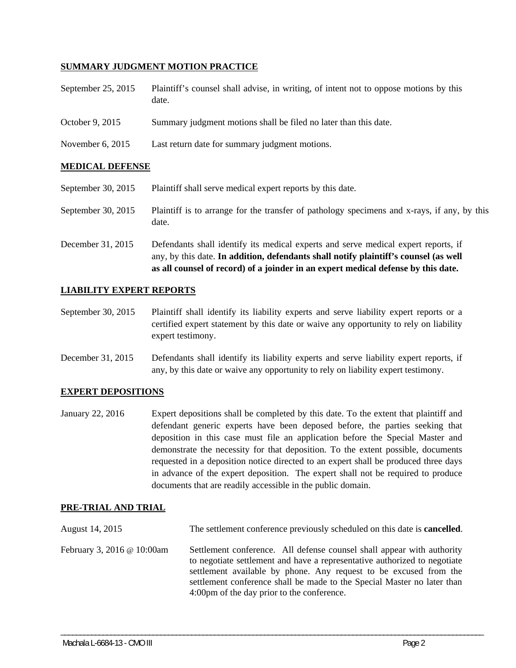# **SUMMARY JUDGMENT MOTION PRACTICE**

- September 25, 2015 Plaintiff's counsel shall advise, in writing, of intent not to oppose motions by this date.
- October 9, 2015 Summary judgment motions shall be filed no later than this date.
- November 6, 2015 Last return date for summary judgment motions.

# **MEDICAL DEFENSE**

- September 30, 2015 Plaintiff shall serve medical expert reports by this date.
- September 30, 2015 Plaintiff is to arrange for the transfer of pathology specimens and x-rays, if any, by this date.
- December 31, 2015 Defendants shall identify its medical experts and serve medical expert reports, if any, by this date. **In addition, defendants shall notify plaintiff's counsel (as well as all counsel of record) of a joinder in an expert medical defense by this date.**

# **LIABILITY EXPERT REPORTS**

- September 30, 2015 Plaintiff shall identify its liability experts and serve liability expert reports or a certified expert statement by this date or waive any opportunity to rely on liability expert testimony.
- December 31, 2015 Defendants shall identify its liability experts and serve liability expert reports, if any, by this date or waive any opportunity to rely on liability expert testimony.

### **EXPERT DEPOSITIONS**

January 22, 2016 Expert depositions shall be completed by this date. To the extent that plaintiff and defendant generic experts have been deposed before, the parties seeking that deposition in this case must file an application before the Special Master and demonstrate the necessity for that deposition. To the extent possible, documents requested in a deposition notice directed to an expert shall be produced three days in advance of the expert deposition. The expert shall not be required to produce documents that are readily accessible in the public domain.

### **PRE-TRIAL AND TRIAL**

| August 14, 2015            | The settlement conference previously scheduled on this date is <b>cancelled</b> .                                                                                                                                                                                                                                                                 |
|----------------------------|---------------------------------------------------------------------------------------------------------------------------------------------------------------------------------------------------------------------------------------------------------------------------------------------------------------------------------------------------|
| February 3, 2016 @ 10:00am | Settlement conference. All defense counsel shall appear with authority<br>to negotiate settlement and have a representative authorized to negotiate<br>settlement available by phone. Any request to be excused from the<br>settlement conference shall be made to the Special Master no later than<br>4:00pm of the day prior to the conference. |

\_\_\_\_\_\_\_\_\_\_\_\_\_\_\_\_\_\_\_\_\_\_\_\_\_\_\_\_\_\_\_\_\_\_\_\_\_\_\_\_\_\_\_\_\_\_\_\_\_\_\_\_\_\_\_\_\_\_\_\_\_\_\_\_\_\_\_\_\_\_\_\_\_\_\_\_\_\_\_\_\_\_\_\_\_\_\_\_\_\_\_\_\_\_\_\_\_\_\_\_\_\_\_\_\_\_\_\_\_\_